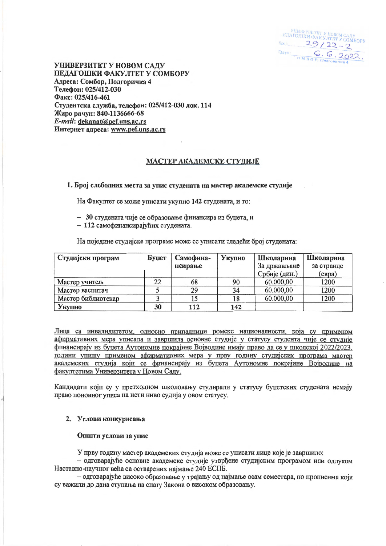— УНИВЕРЗИТЕТ У НОВОМ САДУ<br>- ЕДАГОШКИ ФАКУЛТЕТ У СОМБОРУ  $\n <sup>Bpoj</sup>$  29/22-2  $\eta_{\text{ATYR}} = \frac{C \cdot C}{\text{OM B O P}_i \text{Hom}{\text{convexa 4}}}$  $6.6.2022.$ 

УНИВЕРЗИТЕТ У НОВОМ САДУ ПЕДАГОШКИ ФАКУЛТЕТ У СОМБОРУ Адреса: Сомбор, Подгоричка 4 Телефон: 025/412-030 Факс: 025/416-461 Студентска служба, телефон: 025/412-030 лок. 114 Жиро рачун: 840-1136666-68 E-mail: dekanat@pef.uns.ac.rs Интернет адреса: www.pef.uns.ac.rs

# МАСТЕР АКАДЕМСКЕ СТУДИЈЕ

#### 1. Број слободних места за упис студената на мастер академске студије

На Факултет се може уписати укупно 142 студената, и то:

- 30 студената чије се образовање финансира из буџета, и
- 112 самофинансирајућих студената.

На поједине студијске програме може се уписати следећи број студената:

| Студијски програм  | Буџет | Самофина- | Укупно | Школарина     | Школарина  |  |
|--------------------|-------|-----------|--------|---------------|------------|--|
|                    |       | нсирање   |        | За држављане  | за странце |  |
|                    |       |           |        | Србије (дин.) | $(e$ вра)  |  |
| Мастер учитель     | 22    | 68        | 90     | 60.000,00     | 1200       |  |
| Мастер васпитач    |       | 29        | 34     | 60.000,00     | 1200       |  |
| Мастер библиотекар |       |           | 18     | 60.000,00     | 1200       |  |
| Укупно             | 30    | 112       | 142    |               |            |  |

Лица са инвалидитетом, односно припадници ромске националности, која су применом афирмативних мера уписала и завршила основне студије у статусу студента чије се студије финансирају из буџета Аутономне покрајине Војводине имају право да се у школској 2022/2023. години упишу применом афирмативних мера у прву годину студијских програма мастер академских студија који се финансирају из буџета Аутономне покрајине Војводине на факултетима Универзитета у Новом Саду.

Кандидати који су у претходном школовању студирали у статусу буџетских студената немају право поновног уписа на исти ниво судија у овом статусу.

### 2. Услови конкурисања

# Општи услови за упис

У прву годину мастер академских студија може се уписати лице које је завршило:

- одговарајуће основне академске студије утврђене студијским програмом или одлуком Наставно-научног већа са остварених најмање 240 ЕСПБ.

- одговарајуће високо образовање у трајању од најмање осам семестара, по прописима који су важили до дана ступања на снагу Закона о високом образовању.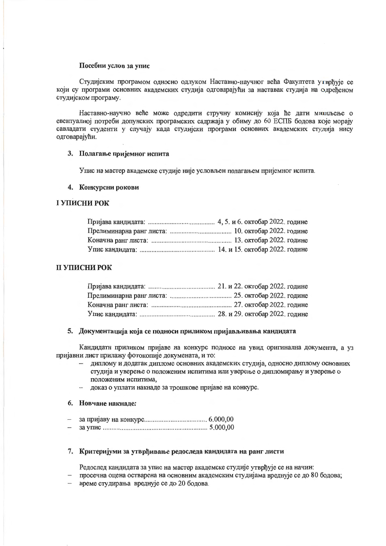### Посебни услов за упис

Студијским програмом односно одлуком Наставно-научног већа Факултета утврђује се који су програми основних академских студија одговарајући за наставак студија на одређеном студијском програму.

Наставно-научно веће може одредити стручну комисију која ће дати мишљење о евентуалној потреби допунских програмских садржаја у обиму до 60 ЕСПБ бодова које морају савладати студенти у случају када студијски програми основних академских студија нису одговарајући.

### 3. Полагање пријемног испита

Упис на мастер академске студије није условљен полагањем пријемног испита.

### 4. Конкурсни рокови

# І УПИСНИ РОК

# **II УПИСНИ РОК**

#### 5. Документација која се подноси приликом пријављивања кандидата

Кандидати приликом пријаве на конкурс подносе на увид оригинална документа, а уз пријавни лист прилажу фотокопије докумената, и то:

- диплому и додатак дипломе основних академских студија, односно диплому основних студија и уверење о положеним испитима или уверење о дипломирању и уверење о положеним испитима.
- доказ о уплати накнаде за трошкове пријаве на конкурс.

# 6. Новчане накнаде:

- 
- 

# 7. Критеријуми за утврђивање редоследа кандидата на ранг листи

Редослед кандидата за упис на мастер академске студије утврђује се на начин:

- просечна оцена остварена на основним академским студијама вреднује се до 80 бодова;
- време студирања вреднује се до 20 бодова.